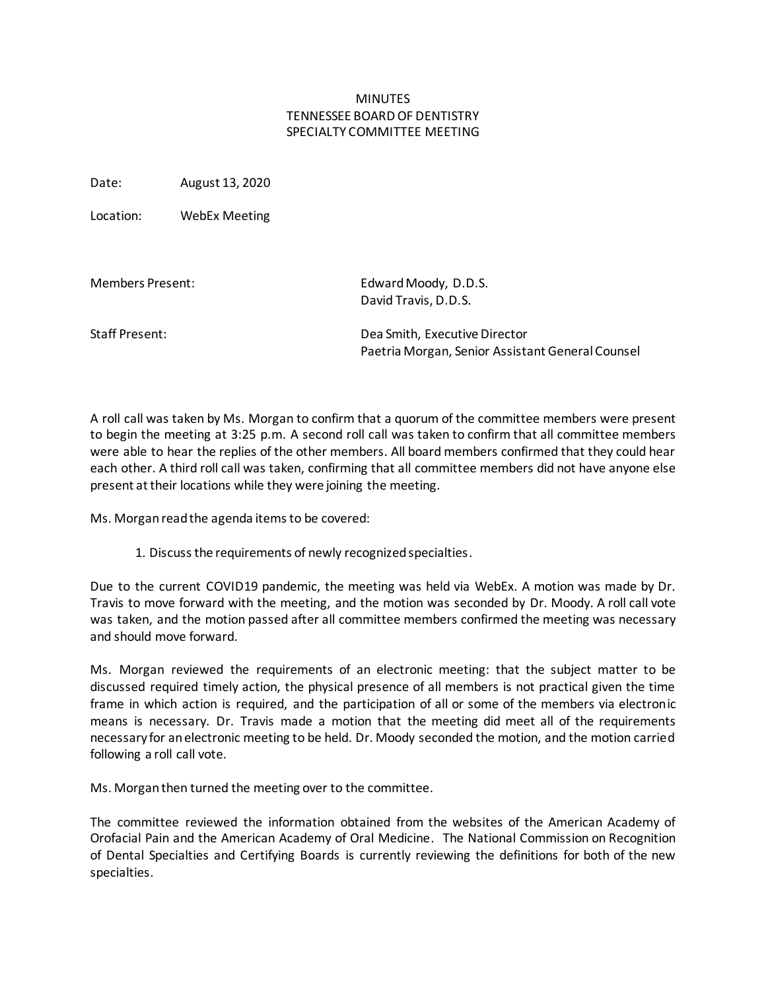## MINUTES TENNESSEE BOARD OF DENTISTRY SPECIALTY COMMITTEE MEETING

Date: August 13, 2020

Location: WebEx Meeting

| Members Present: | Edward Moody, D.D.S.<br>David Travis, D.D.S.                                      |
|------------------|-----------------------------------------------------------------------------------|
| Staff Present:   | Dea Smith, Executive Director<br>Paetria Morgan, Senior Assistant General Counsel |

A roll call was taken by Ms. Morgan to confirm that a quorum of the committee members were present to begin the meeting at 3:25 p.m. A second roll call was taken to confirm that all committee members were able to hear the replies of the other members. All board members confirmed that they could hear each other. A third roll call was taken, confirming that all committee members did not have anyone else present at their locations while they were joining the meeting.

Ms. Morganread the agenda items to be covered:

1. Discuss the requirements of newly recognized specialties.

Due to the current COVID19 pandemic, the meeting was held via WebEx. A motion was made by Dr. Travis to move forward with the meeting, and the motion was seconded by Dr. Moody. A roll call vote was taken, and the motion passed after all committee members confirmed the meeting was necessary and should move forward.

Ms. Morgan reviewed the requirements of an electronic meeting: that the subject matter to be discussed required timely action, the physical presence of all members is not practical given the time frame in which action is required, and the participation of all or some of the members via electronic means is necessary. Dr. Travis made a motion that the meeting did meet all of the requirements necessary for an electronic meeting to be held. Dr. Moody seconded the motion, and the motion carried following a roll call vote.

Ms. Morganthen turned the meeting over to the committee.

The committee reviewed the information obtained from the websites of the American Academy of Orofacial Pain and the American Academy of Oral Medicine. The National Commission on Recognition of Dental Specialties and Certifying Boards is currently reviewing the definitions for both of the new specialties.